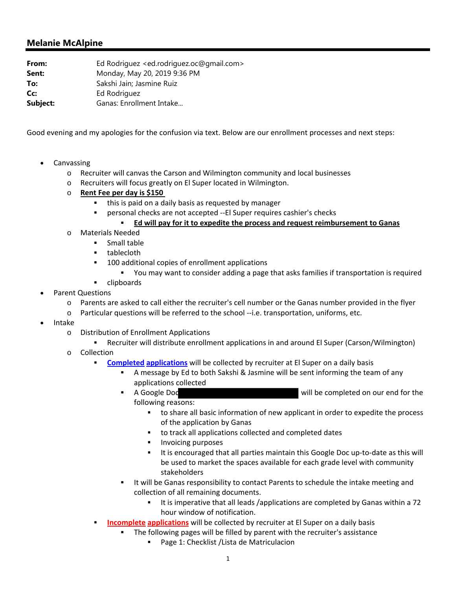## **Melanie McAlpine**

| Ed Rodriguez <ed.rodriguez.oc@gmail.com></ed.rodriguez.oc@gmail.com> |
|----------------------------------------------------------------------|
| Monday, May 20, 2019 9:36 PM                                         |
| Sakshi Jain; Jasmine Ruiz                                            |
| Ed Rodriguez                                                         |
| Ganas: Enrollment Intake                                             |
|                                                                      |

Good evening and my apologies for the confusion via text. Below are our enrollment processes and next steps:

- Canvassing
	- o Recruiter will canvas the Carson and Wilmington community and local businesses
	- o Recruiters will focus greatly on El Super located in Wilmington.
	- o **Rent Fee per day is \$150**
		- this is paid on a daily basis as requested by manager
		- personal checks are not accepted --El Super requires cashier's checks
			- **Ed will pay for it to expedite the process and request reimbursement to Ganas**
	- o Materials Needed
		- **Small table**
		- **tablecloth**
		- **100 additional copies of enrollment applications** 
			- You may want to consider adding a page that asks families if transportation is required
		- **u** clipboards
- Parent Questions
	- o Parents are asked to call either the recruiter's cell number or the Ganas number provided in the flyer
	- o Particular questions will be referred to the school ‐‐i.e. transportation, uniforms, etc.
- Intake
	- o Distribution of Enrollment Applications
		- Recruiter will distribute enrollment applications in and around El Super (Carson/Wilmington)
	- o Collection
		- **Completed applications** will be collected by recruiter at El Super on a daily basis
			- A message by Ed to both Sakshi & Jasmine will be sent informing the team of any applications collected
			- A Google Doc will be completed on our end for the following reasons:
				- to share all basic information of new applicant in order to expedite the process of the application by Ganas
				- to track all applications collected and completed dates
				- Invoicing purposes
				- It is encouraged that all parties maintain this Google Doc up-to-date as this will be used to market the spaces available for each grade level with community stakeholders
			- It will be Ganas responsibility to contact Parents to schedule the intake meeting and collection of all remaining documents.
				- It is imperative that all leads /applications are completed by Ganas within a 72 hour window of notification.
		- **Incomplete applications** will be collected by recruiter at El Super on a daily basis
			- The following pages will be filled by parent with the recruiter's assistance
				- Page 1: Checklist / Lista de Matriculacion